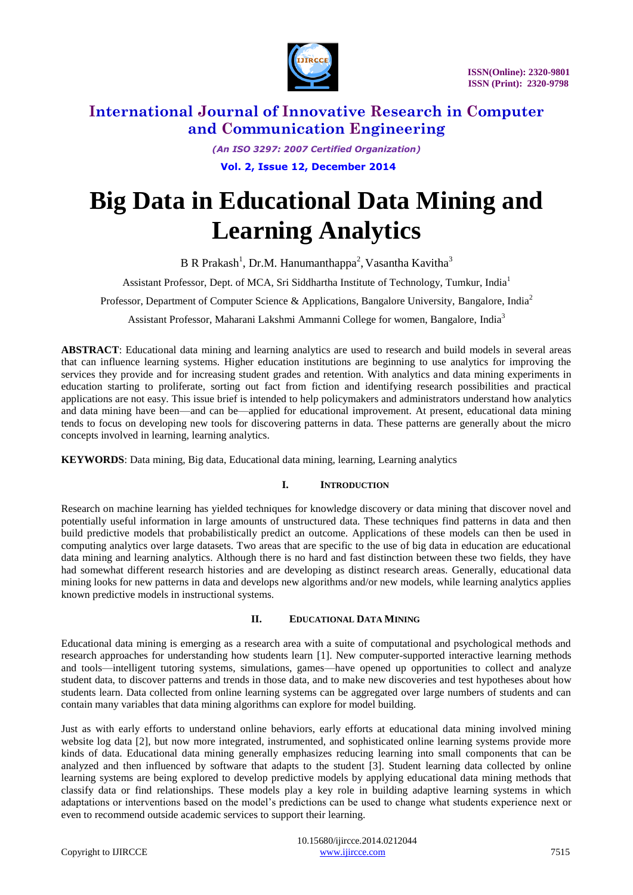

*(An ISO 3297: 2007 Certified Organization)* **Vol. 2, Issue 12, December 2014** 

# **Big Data in Educational Data Mining and Learning Analytics**

B R Prakash<sup>1</sup>, Dr.M. Hanumanthappa<sup>2</sup>, Vasantha Kavitha<sup>3</sup>

Assistant Professor, Dept. of MCA, Sri Siddhartha Institute of Technology, Tumkur, India<sup>1</sup>

Professor, Department of Computer Science & Applications, Bangalore University, Bangalore, India<sup>2</sup>

Assistant Professor, Maharani Lakshmi Ammanni College for women, Bangalore, India<sup>3</sup>

**ABSTRACT**: Educational data mining and learning analytics are used to research and build models in several areas that can influence learning systems. Higher education institutions are beginning to use analytics for improving the services they provide and for increasing student grades and retention. With analytics and data mining experiments in education starting to proliferate, sorting out fact from fiction and identifying research possibilities and practical applications are not easy. This issue brief is intended to help policymakers and administrators understand how analytics and data mining have been—and can be—applied for educational improvement. At present, educational data mining tends to focus on developing new tools for discovering patterns in data. These patterns are generally about the micro concepts involved in learning, learning analytics.

**KEYWORDS**: Data mining, Big data, Educational data mining, learning, Learning analytics

### **I. INTRODUCTION**

Research on machine learning has yielded techniques for knowledge discovery or data mining that discover novel and potentially useful information in large amounts of unstructured data. These techniques find patterns in data and then build predictive models that probabilistically predict an outcome. Applications of these models can then be used in computing analytics over large datasets. Two areas that are specific to the use of big data in education are educational data mining and learning analytics. Although there is no hard and fast distinction between these two fields, they have had somewhat different research histories and are developing as distinct research areas. Generally, educational data mining looks for new patterns in data and develops new algorithms and/or new models, while learning analytics applies known predictive models in instructional systems.

#### **II. EDUCATIONAL DATA MINING**

Educational data mining is emerging as a research area with a suite of computational and psychological methods and research approaches for understanding how students learn [1]. New computer-supported interactive learning methods and tools—intelligent tutoring systems, simulations, games—have opened up opportunities to collect and analyze student data, to discover patterns and trends in those data, and to make new discoveries and test hypotheses about how students learn. Data collected from online learning systems can be aggregated over large numbers of students and can contain many variables that data mining algorithms can explore for model building.

Just as with early efforts to understand online behaviors, early efforts at educational data mining involved mining website log data [2], but now more integrated, instrumented, and sophisticated online learning systems provide more kinds of data. Educational data mining generally emphasizes reducing learning into small components that can be analyzed and then influenced by software that adapts to the student [3]. Student learning data collected by online learning systems are being explored to develop predictive models by applying educational data mining methods that classify data or find relationships. These models play a key role in building adaptive learning systems in which adaptations or interventions based on the model's predictions can be used to change what students experience next or even to recommend outside academic services to support their learning.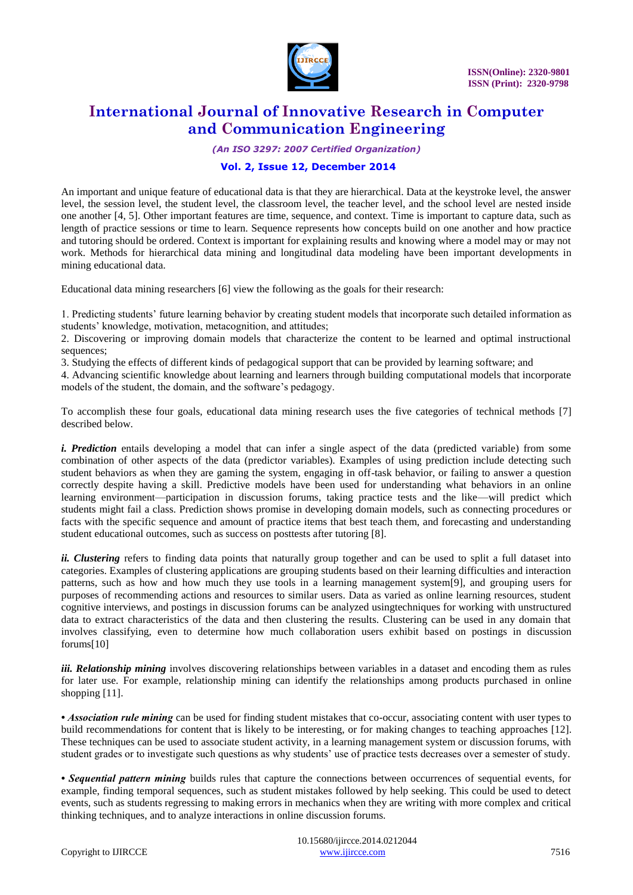

*(An ISO 3297: 2007 Certified Organization)*

### **Vol. 2, Issue 12, December 2014**

An important and unique feature of educational data is that they are hierarchical. Data at the keystroke level, the answer level, the session level, the student level, the classroom level, the teacher level, and the school level are nested inside one another [4, 5]. Other important features are time, sequence, and context. Time is important to capture data, such as length of practice sessions or time to learn. Sequence represents how concepts build on one another and how practice and tutoring should be ordered. Context is important for explaining results and knowing where a model may or may not work. Methods for hierarchical data mining and longitudinal data modeling have been important developments in mining educational data.

Educational data mining researchers [6] view the following as the goals for their research:

1. Predicting students' future learning behavior by creating student models that incorporate such detailed information as students' knowledge, motivation, metacognition, and attitudes;

2. Discovering or improving domain models that characterize the content to be learned and optimal instructional sequences;

3. Studying the effects of different kinds of pedagogical support that can be provided by learning software; and

4. Advancing scientific knowledge about learning and learners through building computational models that incorporate models of the student, the domain, and the software's pedagogy.

To accomplish these four goals, educational data mining research uses the five categories of technical methods [7] described below.

*i. Prediction* entails developing a model that can infer a single aspect of the data (predicted variable) from some combination of other aspects of the data (predictor variables). Examples of using prediction include detecting such student behaviors as when they are gaming the system, engaging in off-task behavior, or failing to answer a question correctly despite having a skill. Predictive models have been used for understanding what behaviors in an online learning environment—participation in discussion forums, taking practice tests and the like—will predict which students might fail a class. Prediction shows promise in developing domain models, such as connecting procedures or facts with the specific sequence and amount of practice items that best teach them, and forecasting and understanding student educational outcomes, such as success on posttests after tutoring [8].

*ii. Clustering* refers to finding data points that naturally group together and can be used to split a full dataset into categories. Examples of clustering applications are grouping students based on their learning difficulties and interaction patterns, such as how and how much they use tools in a learning management system[9], and grouping users for purposes of recommending actions and resources to similar users. Data as varied as online learning resources, student cognitive interviews, and postings in discussion forums can be analyzed usingtechniques for working with unstructured data to extract characteristics of the data and then clustering the results. Clustering can be used in any domain that involves classifying, even to determine how much collaboration users exhibit based on postings in discussion forums[10]

*iii. Relationship mining* involves discovering relationships between variables in a dataset and encoding them as rules for later use. For example, relationship mining can identify the relationships among products purchased in online shopping [11].

• *Association rule mining* can be used for finding student mistakes that co-occur, associating content with user types to build recommendations for content that is likely to be interesting, or for making changes to teaching approaches [12]. These techniques can be used to associate student activity, in a learning management system or discussion forums, with student grades or to investigate such questions as why students' use of practice tests decreases over a semester of study.

*• Sequential pattern mining* builds rules that capture the connections between occurrences of sequential events, for example, finding temporal sequences, such as student mistakes followed by help seeking. This could be used to detect events, such as students regressing to making errors in mechanics when they are writing with more complex and critical thinking techniques, and to analyze interactions in online discussion forums.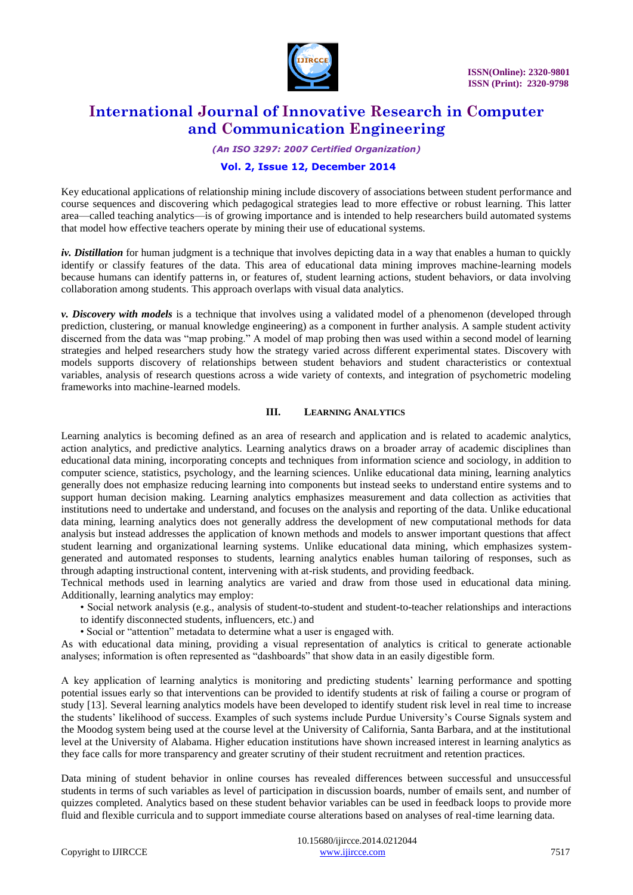

*(An ISO 3297: 2007 Certified Organization)*

### **Vol. 2, Issue 12, December 2014**

Key educational applications of relationship mining include discovery of associations between student performance and course sequences and discovering which pedagogical strategies lead to more effective or robust learning. This latter area—called teaching analytics—is of growing importance and is intended to help researchers build automated systems that model how effective teachers operate by mining their use of educational systems.

*iv. Distillation* for human judgment is a technique that involves depicting data in a way that enables a human to quickly identify or classify features of the data. This area of educational data mining improves machine-learning models because humans can identify patterns in, or features of, student learning actions, student behaviors, or data involving collaboration among students. This approach overlaps with visual data analytics.

*v. Discovery with models* is a technique that involves using a validated model of a phenomenon (developed through prediction, clustering, or manual knowledge engineering) as a component in further analysis. A sample student activity discerned from the data was "map probing." A model of map probing then was used within a second model of learning strategies and helped researchers study how the strategy varied across different experimental states. Discovery with models supports discovery of relationships between student behaviors and student characteristics or contextual variables, analysis of research questions across a wide variety of contexts, and integration of psychometric modeling frameworks into machine-learned models.

#### **III. LEARNING ANALYTICS**

Learning analytics is becoming defined as an area of research and application and is related to academic analytics, action analytics, and predictive analytics. Learning analytics draws on a broader array of academic disciplines than educational data mining, incorporating concepts and techniques from information science and sociology, in addition to computer science, statistics, psychology, and the learning sciences. Unlike educational data mining, learning analytics generally does not emphasize reducing learning into components but instead seeks to understand entire systems and to support human decision making. Learning analytics emphasizes measurement and data collection as activities that institutions need to undertake and understand, and focuses on the analysis and reporting of the data. Unlike educational data mining, learning analytics does not generally address the development of new computational methods for data analysis but instead addresses the application of known methods and models to answer important questions that affect student learning and organizational learning systems. Unlike educational data mining, which emphasizes systemgenerated and automated responses to students, learning analytics enables human tailoring of responses, such as through adapting instructional content, intervening with at-risk students, and providing feedback.

Technical methods used in learning analytics are varied and draw from those used in educational data mining. Additionally, learning analytics may employ:

• Social network analysis (e.g., analysis of student-to-student and student-to-teacher relationships and interactions

to identify disconnected students, influencers, etc.) and

• Social or "attention" metadata to determine what a user is engaged with.

As with educational data mining, providing a visual representation of analytics is critical to generate actionable analyses; information is often represented as "dashboards" that show data in an easily digestible form.

A key application of learning analytics is monitoring and predicting students' learning performance and spotting potential issues early so that interventions can be provided to identify students at risk of failing a course or program of study [13]. Several learning analytics models have been developed to identify student risk level in real time to increase the students' likelihood of success. Examples of such systems include Purdue University's Course Signals system and the Moodog system being used at the course level at the University of California, Santa Barbara, and at the institutional level at the University of Alabama. Higher education institutions have shown increased interest in learning analytics as they face calls for more transparency and greater scrutiny of their student recruitment and retention practices.

Data mining of student behavior in online courses has revealed differences between successful and unsuccessful students in terms of such variables as level of participation in discussion boards, number of emails sent, and number of quizzes completed. Analytics based on these student behavior variables can be used in feedback loops to provide more fluid and flexible curricula and to support immediate course alterations based on analyses of real-time learning data.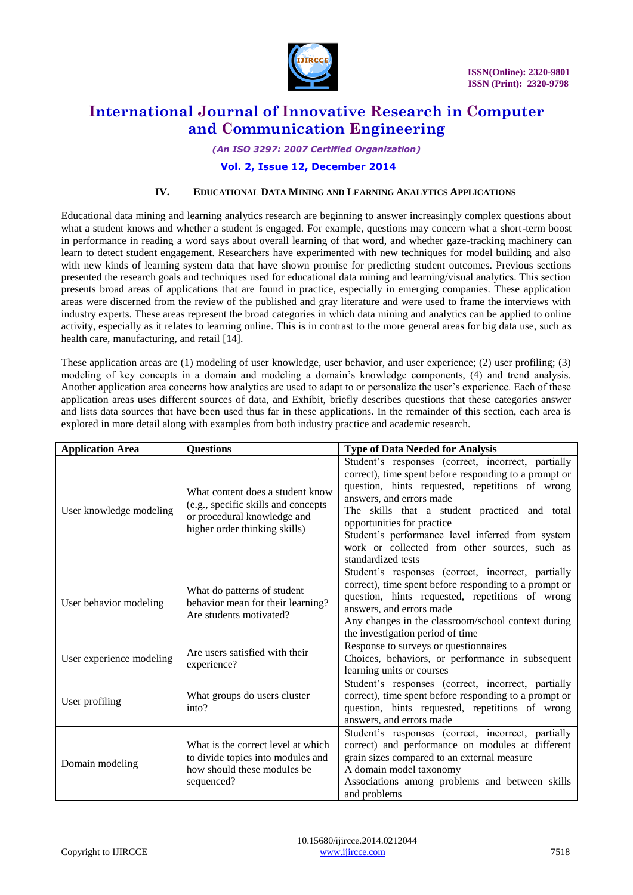

#### *(An ISO 3297: 2007 Certified Organization)*

#### **Vol. 2, Issue 12, December 2014**

### **IV. EDUCATIONAL DATA MINING AND LEARNING ANALYTICS APPLICATIONS**

Educational data mining and learning analytics research are beginning to answer increasingly complex questions about what a student knows and whether a student is engaged. For example, questions may concern what a short-term boost in performance in reading a word says about overall learning of that word, and whether gaze-tracking machinery can learn to detect student engagement. Researchers have experimented with new techniques for model building and also with new kinds of learning system data that have shown promise for predicting student outcomes. Previous sections presented the research goals and techniques used for educational data mining and learning/visual analytics. This section presents broad areas of applications that are found in practice, especially in emerging companies. These application areas were discerned from the review of the published and gray literature and were used to frame the interviews with industry experts. These areas represent the broad categories in which data mining and analytics can be applied to online activity, especially as it relates to learning online. This is in contrast to the more general areas for big data use, such as health care, manufacturing, and retail [14].

These application areas are (1) modeling of user knowledge, user behavior, and user experience; (2) user profiling; (3) modeling of key concepts in a domain and modeling a domain's knowledge components, (4) and trend analysis. Another application area concerns how analytics are used to adapt to or personalize the user's experience. Each of these application areas uses different sources of data, and Exhibit, briefly describes questions that these categories answer and lists data sources that have been used thus far in these applications. In the remainder of this section, each area is explored in more detail along with examples from both industry practice and academic research.

| <b>Application Area</b>  | <b>Questions</b>                                                                                                                         | <b>Type of Data Needed for Analysis</b>                                                                                                                                                                                                                                                                                                                                                              |
|--------------------------|------------------------------------------------------------------------------------------------------------------------------------------|------------------------------------------------------------------------------------------------------------------------------------------------------------------------------------------------------------------------------------------------------------------------------------------------------------------------------------------------------------------------------------------------------|
| User knowledge modeling  | What content does a student know<br>(e.g., specific skills and concepts)<br>or procedural knowledge and<br>higher order thinking skills) | Student's responses (correct, incorrect, partially<br>correct), time spent before responding to a prompt or<br>question, hints requested, repetitions of wrong<br>answers, and errors made<br>The skills that a student practiced and total<br>opportunities for practice<br>Student's performance level inferred from system<br>work or collected from other sources, such as<br>standardized tests |
| User behavior modeling   | What do patterns of student<br>behavior mean for their learning?<br>Are students motivated?                                              | Student's responses (correct, incorrect, partially<br>correct), time spent before responding to a prompt or<br>question, hints requested, repetitions of wrong<br>answers, and errors made<br>Any changes in the classroom/school context during<br>the investigation period of time                                                                                                                 |
| User experience modeling | Are users satisfied with their<br>experience?                                                                                            | Response to surveys or questionnaires<br>Choices, behaviors, or performance in subsequent<br>learning units or courses                                                                                                                                                                                                                                                                               |
| User profiling           | What groups do users cluster<br>into?                                                                                                    | Student's responses (correct, incorrect, partially<br>correct), time spent before responding to a prompt or<br>question, hints requested, repetitions of wrong<br>answers, and errors made                                                                                                                                                                                                           |
| Domain modeling          | What is the correct level at which<br>to divide topics into modules and<br>how should these modules be<br>sequenced?                     | Student's responses (correct, incorrect, partially<br>correct) and performance on modules at different<br>grain sizes compared to an external measure<br>A domain model taxonomy<br>Associations among problems and between skills<br>and problems                                                                                                                                                   |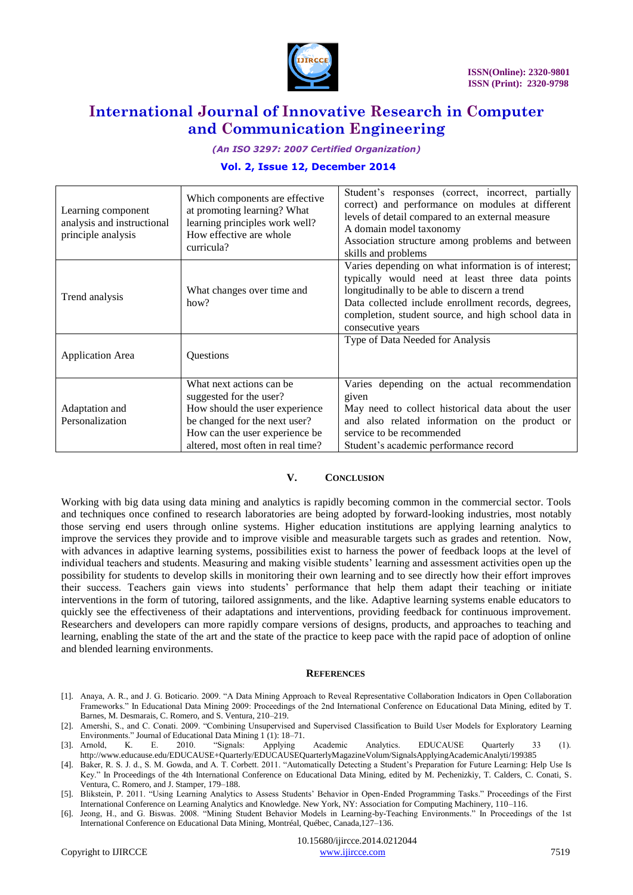

*(An ISO 3297: 2007 Certified Organization)*

### **Vol. 2, Issue 12, December 2014**

| Learning component<br>analysis and instructional<br>principle analysis | Which components are effective<br>at promoting learning? What<br>learning principles work well?<br>How effective are whole<br>curricula?                                                      | Student's responses (correct, incorrect, partially<br>correct) and performance on modules at different<br>levels of detail compared to an external measure<br>A domain model taxonomy<br>Association structure among problems and between<br>skills and problems                           |
|------------------------------------------------------------------------|-----------------------------------------------------------------------------------------------------------------------------------------------------------------------------------------------|--------------------------------------------------------------------------------------------------------------------------------------------------------------------------------------------------------------------------------------------------------------------------------------------|
| Trend analysis                                                         | What changes over time and<br>how?                                                                                                                                                            | Varies depending on what information is of interest;<br>typically would need at least three data points<br>longitudinally to be able to discern a trend<br>Data collected include enrollment records, degrees,<br>completion, student source, and high school data in<br>consecutive years |
| <b>Application Area</b>                                                | Questions                                                                                                                                                                                     | Type of Data Needed for Analysis                                                                                                                                                                                                                                                           |
| Adaptation and<br>Personalization                                      | What next actions can be<br>suggested for the user?<br>How should the user experience<br>be changed for the next user?<br>How can the user experience be<br>altered, most often in real time? | Varies depending on the actual recommendation<br>given<br>May need to collect historical data about the user<br>and also related information on the product or<br>service to be recommended<br>Student's academic performance record                                                       |

#### **V. CONCLUSION**

Working with big data using data mining and analytics is rapidly becoming common in the commercial sector. Tools and techniques once confined to research laboratories are being adopted by forward-looking industries, most notably those serving end users through online systems. Higher education institutions are applying learning analytics to improve the services they provide and to improve visible and measurable targets such as grades and retention. Now, with advances in adaptive learning systems, possibilities exist to harness the power of feedback loops at the level of individual teachers and students. Measuring and making visible students' learning and assessment activities open up the possibility for students to develop skills in monitoring their own learning and to see directly how their effort improves their success. Teachers gain views into students' performance that help them adapt their teaching or initiate interventions in the form of tutoring, tailored assignments, and the like. Adaptive learning systems enable educators to quickly see the effectiveness of their adaptations and interventions, providing feedback for continuous improvement. Researchers and developers can more rapidly compare versions of designs, products, and approaches to teaching and learning, enabling the state of the art and the state of the practice to keep pace with the rapid pace of adoption of online and blended learning environments.

#### **REFERENCES**

- [1]. Anaya, A. R., and J. G. Boticario. 2009. "A Data Mining Approach to Reveal Representative Collaboration Indicators in Open Collaboration Frameworks.‖ In Educational Data Mining 2009: Proceedings of the 2nd International Conference on Educational Data Mining, edited by T. Barnes, M. Desmarais, C. Romero, and S. Ventura, 210–219.
- [2]. Amershi, S., and C. Conati. 2009. "Combining Unsupervised and Supervised Classification to Build User Models for Exploratory Learning Environments." Journal of Educational Data Mining 1 (1): 18-71.
- [3]. Arnold, K. E. 2010. ―Signals: Applying Academic Analytics. EDUCAUSE Quarterly 33 (1). <http://www.educause.edu/EDUCAUSE+Quarterly/EDUCAUSEQuarterlyMagazineVolum/SignalsApplyingAcademicAnalyti/199385>
- [4]. Baker, R. S. J. d., S. M. Gowda, and A. T. Corbett. 2011. "Automatically Detecting a Student's Preparation for Future Learning: Help Use Is Key." In Proceedings of the 4th International Conference on Educational Data Mining, edited by M. Pechenizkiy, T. Calders, C. Conati, S. Ventura, C. Romero, and J. Stamper, 179–188.
- [5]. Blikstein, P. 2011. "Using Learning Analytics to Assess Students' Behavior in Open-Ended Programming Tasks." Proceedings of the First International Conference on Learning Analytics and Knowledge. New York, NY: Association for Computing Machinery, 110–116.
- [6]. Jeong, H., and G. Biswas. 2008. "Mining Student Behavior Models in Learning-by-Teaching Environments." In Proceedings of the 1st International Conference on Educational Data Mining, Montréal, Québec, Canada,127–136.